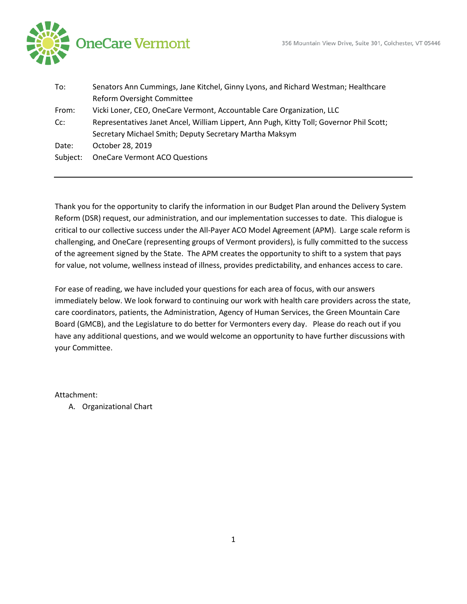

| To:      | Senators Ann Cummings, Jane Kitchel, Ginny Lyons, and Richard Westman; Healthcare        |
|----------|------------------------------------------------------------------------------------------|
|          | <b>Reform Oversight Committee</b>                                                        |
| From:    | Vicki Loner, CEO, OneCare Vermont, Accountable Care Organization, LLC                    |
| $Cc$ :   | Representatives Janet Ancel, William Lippert, Ann Pugh, Kitty Toll; Governor Phil Scott; |
|          | Secretary Michael Smith; Deputy Secretary Martha Maksym                                  |
| Date:    | October 28, 2019                                                                         |
| Subject: | <b>OneCare Vermont ACO Questions</b>                                                     |
|          |                                                                                          |

Thank you for the opportunity to clarify the information in our Budget Plan around the Delivery System Reform (DSR) request, our administration, and our implementation successes to date. This dialogue is critical to our collective success under the All-Payer ACO Model Agreement (APM). Large scale reform is challenging, and OneCare (representing groups of Vermont providers), is fully committed to the success of the agreement signed by the State. The APM creates the opportunity to shift to a system that pays for value, not volume, wellness instead of illness, provides predictability, and enhances access to care.

For ease of reading, we have included your questions for each area of focus, with our answers immediately below. We look forward to continuing our work with health care providers across the state, care coordinators, patients, the Administration, Agency of Human Services, the Green Mountain Care Board (GMCB), and the Legislature to do better for Vermonters every day. Please do reach out if you have any additional questions, and we would welcome an opportunity to have further discussions with your Committee.

Attachment:

A. Organizational Chart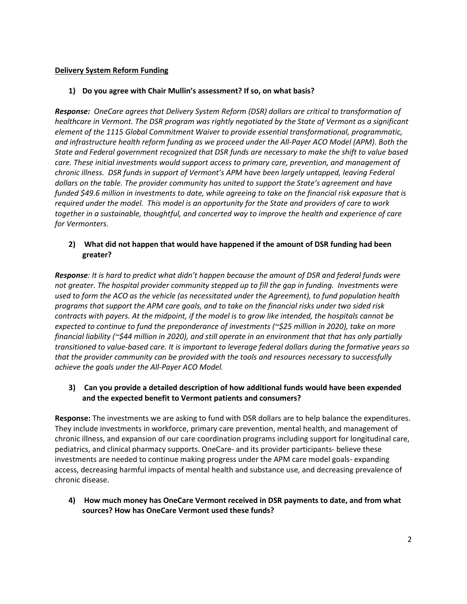### **Delivery System Reform Funding**

#### **1) Do you agree with Chair Mullin's assessment? If so, on what basis?**

*Response: OneCare agrees that Delivery System Reform (DSR) dollars are critical to transformation of healthcare in Vermont. The DSR program was rightly negotiated by the State of Vermont as a significant element of the 1115 Global Commitment Waiver to provide essential transformational, programmatic, and infrastructure health reform funding as we proceed under the All-Payer ACO Model (APM). Both the State and Federal government recognized that DSR funds are necessary to make the shift to value based care. These initial investments would support access to primary care, prevention, and management of chronic illness. DSR funds in support of Vermont's APM have been largely untapped, leaving Federal dollars on the table. The provider community has united to support the State's agreement and have funded \$49.6 million in investments to date, while agreeing to take on the financial risk exposure that is required under the model. This model is an opportunity for the State and providers of care to work together in a sustainable, thoughtful, and concerted way to improve the health and experience of care for Vermonters.* 

### **2) What did not happen that would have happened if the amount of DSR funding had been greater?**

*Response: It is hard to predict what didn't happen because the amount of DSR and federal funds were not greater. The hospital provider community stepped up to fill the gap in funding. Investments were used to form the ACO as the vehicle (as necessitated under the Agreement), to fund population health programs that support the APM care goals, and to take on the financial risks under two sided risk contracts with payers. At the midpoint, if the model is to grow like intended, the hospitals cannot be expected to continue to fund the preponderance of investments (~\$25 million in 2020), take on more financial liability (~\$44 million in 2020), and still operate in an environment that that has only partially transitioned to value-based care. It is important to leverage federal dollars during the formative years so that the provider community can be provided with the tools and resources necessary to successfully achieve the goals under the All-Payer ACO Model.*

## **3) Can you provide a detailed description of how additional funds would have been expended and the expected benefit to Vermont patients and consumers?**

**Response:** The investments we are asking to fund with DSR dollars are to help balance the expenditures. They include investments in workforce, primary care prevention, mental health, and management of chronic illness, and expansion of our care coordination programs including support for longitudinal care, pediatrics, and clinical pharmacy supports. OneCare- and its provider participants- believe these investments are needed to continue making progress under the APM care model goals- expanding access, decreasing harmful impacts of mental health and substance use, and decreasing prevalence of chronic disease.

**4) How much money has OneCare Vermont received in DSR payments to date, and from what sources? How has OneCare Vermont used these funds?**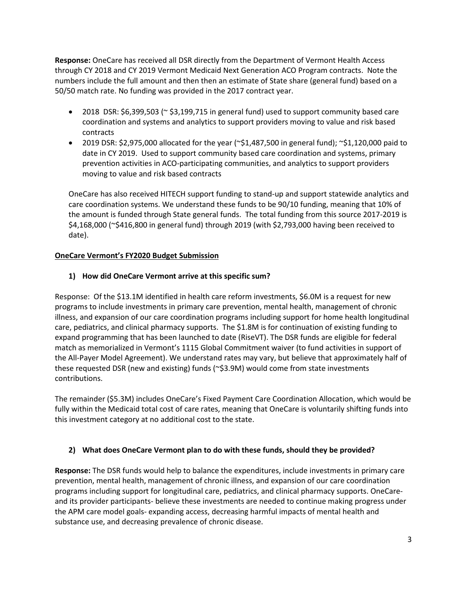**Response:** OneCare has received all DSR directly from the Department of Vermont Health Access through CY 2018 and CY 2019 Vermont Medicaid Next Generation ACO Program contracts. Note the numbers include the full amount and then then an estimate of State share (general fund) based on a 50/50 match rate. No funding was provided in the 2017 contract year.

- 2018 DSR: \$6,399,503 (~ \$3,199,715 in general fund) used to support community based care coordination and systems and analytics to support providers moving to value and risk based contracts
- 2019 DSR: \$2,975,000 allocated for the year  $(\sim$ \$1,487,500 in general fund);  $\sim$ \$1,120,000 paid to date in CY 2019. Used to support community based care coordination and systems, primary prevention activities in ACO-participating communities, and analytics to support providers moving to value and risk based contracts

OneCare has also received HITECH support funding to stand-up and support statewide analytics and care coordination systems. We understand these funds to be 90/10 funding, meaning that 10% of the amount is funded through State general funds. The total funding from this source 2017-2019 is \$4,168,000 (~\$416,800 in general fund) through 2019 (with \$2,793,000 having been received to date).

## **OneCare Vermont's FY2020 Budget Submission**

# **1) How did OneCare Vermont arrive at this specific sum?**

Response: Of the \$13.1M identified in health care reform investments, \$6.0M is a request for new programs to include investments in primary care prevention, mental health, management of chronic illness, and expansion of our care coordination programs including support for home health longitudinal care, pediatrics, and clinical pharmacy supports. The \$1.8M is for continuation of existing funding to expand programming that has been launched to date (RiseVT). The DSR funds are eligible for federal match as memorialized in Vermont's 1115 Global Commitment waiver (to fund activities in support of the All-Payer Model Agreement). We understand rates may vary, but believe that approximately half of these requested DSR (new and existing) funds (~\$3.9M) would come from state investments contributions.

The remainder (\$5.3M) includes OneCare's Fixed Payment Care Coordination Allocation, which would be fully within the Medicaid total cost of care rates, meaning that OneCare is voluntarily shifting funds into this investment category at no additional cost to the state.

## **2) What does OneCare Vermont plan to do with these funds, should they be provided?**

**Response:** The DSR funds would help to balance the expenditures, include investments in primary care prevention, mental health, management of chronic illness, and expansion of our care coordination programs including support for longitudinal care, pediatrics, and clinical pharmacy supports. OneCareand its provider participants- believe these investments are needed to continue making progress under the APM care model goals- expanding access, decreasing harmful impacts of mental health and substance use, and decreasing prevalence of chronic disease.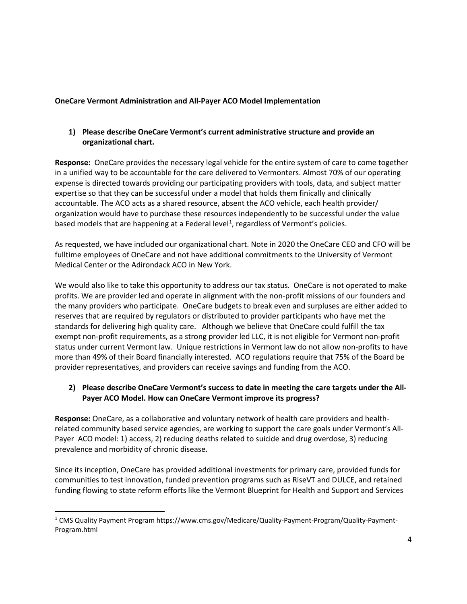# **OneCare Vermont Administration and All-Payer ACO Model Implementation**

## **1) Please describe OneCare Vermont's current administrative structure and provide an organizational chart.**

**Response:** OneCare provides the necessary legal vehicle for the entire system of care to come together in a unified way to be accountable for the care delivered to Vermonters. Almost 70% of our operating expense is directed towards providing our participating providers with tools, data, and subject matter expertise so that they can be successful under a model that holds them finically and clinically accountable. The ACO acts as a shared resource, absent the ACO vehicle, each health provider/ organization would have to purchase these resources independently to be successful under the value based models that are happening at a Federal level<sup>[1](#page-3-0)</sup>, regardless of Vermont's policies.

As requested, we have included our organizational chart. Note in 2020 the OneCare CEO and CFO will be fulltime employees of OneCare and not have additional commitments to the University of Vermont Medical Center or the Adirondack ACO in New York.

We would also like to take this opportunity to address our tax status. OneCare is not operated to make profits. We are provider led and operate in alignment with the non-profit missions of our founders and the many providers who participate. OneCare budgets to break even and surpluses are either added to reserves that are required by regulators or distributed to provider participants who have met the standards for delivering high quality care. Although we believe that OneCare could fulfill the tax exempt non-profit requirements, as a strong provider led LLC, it is not eligible for Vermont non-profit status under current Vermont law. Unique restrictions in Vermont law do not allow non-profits to have more than 49% of their Board financially interested. ACO regulations require that 75% of the Board be provider representatives, and providers can receive savings and funding from the ACO.

## **2) Please describe OneCare Vermont's success to date in meeting the care targets under the All-Payer ACO Model. How can OneCare Vermont improve its progress?**

**Response:** OneCare, as a collaborative and voluntary network of health care providers and healthrelated community based service agencies, are working to support the care goals under Vermont's All-Payer ACO model: 1) access, 2) reducing deaths related to suicide and drug overdose, 3) reducing prevalence and morbidity of chronic disease.

Since its inception, OneCare has provided additional investments for primary care, provided funds for communities to test innovation, funded prevention programs such as RiseVT and DULCE, and retained funding flowing to state reform efforts like the Vermont Blueprint for Health and Support and Services

<span id="page-3-0"></span> <sup>1</sup> CMS Quality Payment Program https://www.cms.gov/Medicare/Quality-Payment-Program/Quality-Payment-Program.html